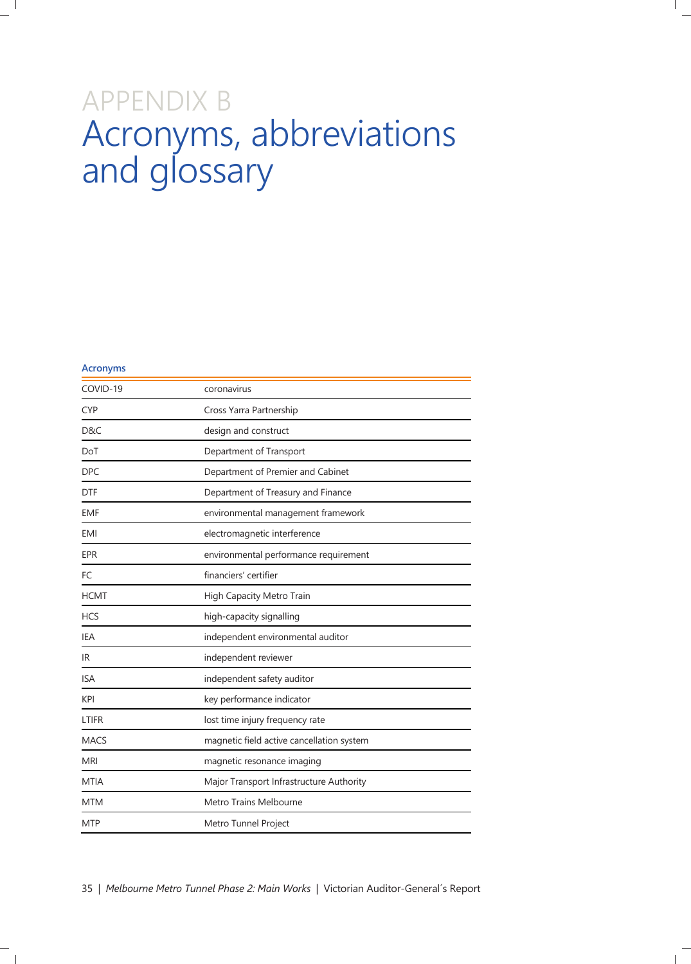## APPENDIX B Acronyms, abbreviations and glossary

| <b>Acronyms</b> |                                           |  |
|-----------------|-------------------------------------------|--|
| COVID-19        | coronavirus                               |  |
| <b>CYP</b>      | Cross Yarra Partnership                   |  |
| D&C             | design and construct                      |  |
| DoT             | Department of Transport                   |  |
| <b>DPC</b>      | Department of Premier and Cabinet         |  |
| <b>DTF</b>      | Department of Treasury and Finance        |  |
| <b>EMF</b>      | environmental management framework        |  |
| EMI             | electromagnetic interference              |  |
| <b>EPR</b>      | environmental performance requirement     |  |
| FC              | financiers' certifier                     |  |
| <b>HCMT</b>     | High Capacity Metro Train                 |  |
| <b>HCS</b>      | high-capacity signalling                  |  |
| IEA             | independent environmental auditor         |  |
| IR.             | independent reviewer                      |  |
| <b>ISA</b>      | independent safety auditor                |  |
| KPI             | key performance indicator                 |  |
| LTIFR           | lost time injury frequency rate           |  |
| <b>MACS</b>     | magnetic field active cancellation system |  |
| <b>MRI</b>      | magnetic resonance imaging                |  |
| MTIA            | Major Transport Infrastructure Authority  |  |
| <b>MTM</b>      | Metro Trains Melbourne                    |  |
| <b>MTP</b>      | Metro Tunnel Project                      |  |